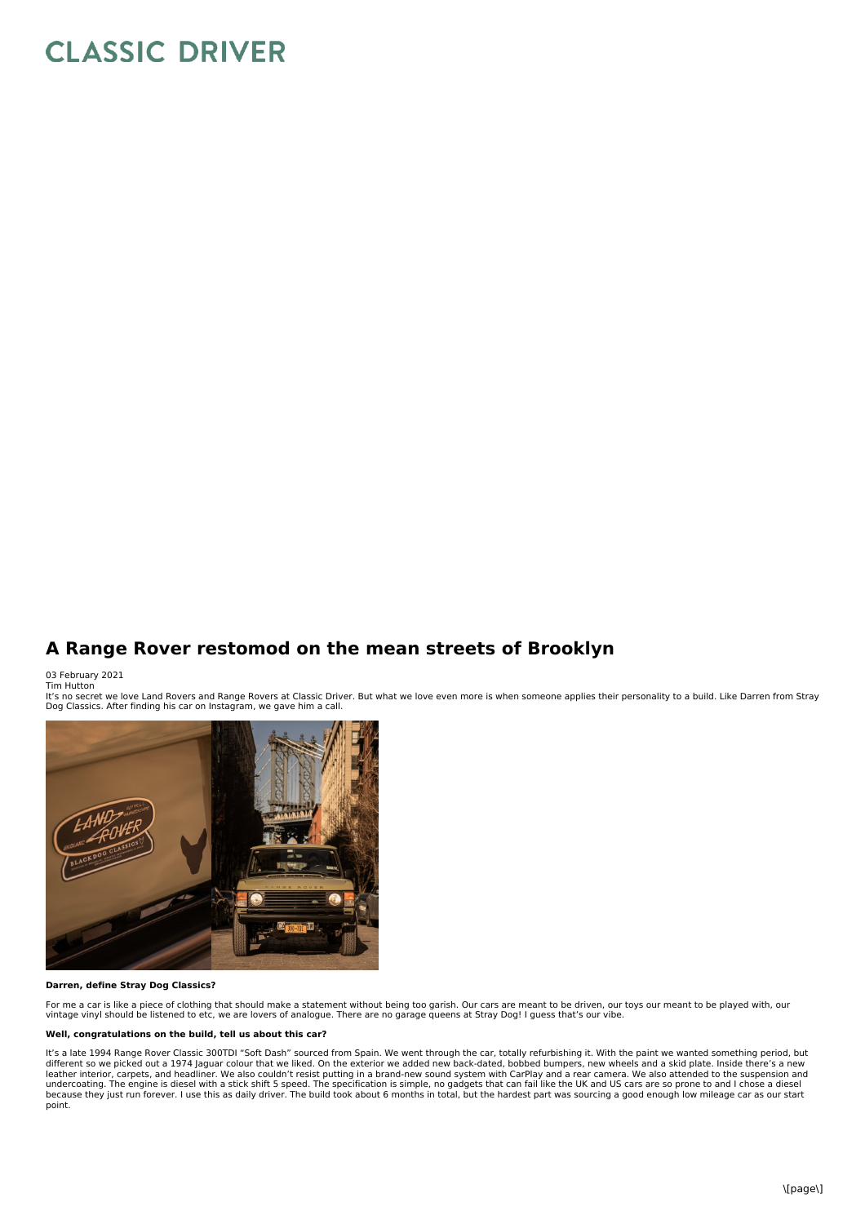# **CLASSIC DRIVER**

# **A Range Rover restomod on the mean streets of Brooklyn**

03 February 2021 Tim Hutton

It's no secret we love Land Rovers and Range Rovers at Classic Driver. But what we love even more is when someone applies their personality to a build. Like Darren from Stray<br>Dog Classics. After finding his car on Instagra



## **Darren, define Stray Dog Classics?**

For me a car is like a piece of clothing that should make a statement without being too garish. Our cars are meant to be driven, our toys our meant to be played with, our<br>vintage vinyl should be listened to etc, we are lov

#### **Well, congratulations on the build, tell us about this car?**

It's a late 1994 Range Rover Classic 300TDI "Soft Dash" sourced from Spain. We went through the car, totally refurbishing it. With the paint we wanted something period, but different so we picked out a 1974 Jaguar colour that we liked. On the exterior we added new back-dated, bobbed bumpers, new wheels and a skid plate. Inside there's a new<br>leather interior, carpets, and headliner. We also co undercoating. The engine is diesel with a stick shift 5 speed. The specification is simple, no gadgets that can fail like the UK and US cars are so prone to and I chose a diesel<br>because they just run forever. I use this as point.